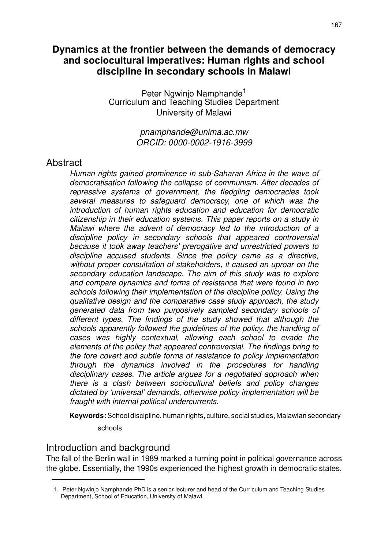# **Dynamics at the frontier between the demands of democracy and sociocultural imperatives: Human rights and school discipline in secondary schools in Malawi**

Peter Ngwinjo Namphande<sup>1</sup> Curriculum and Teaching Studies Department University of Malawi

> *pnamphande@unima.ac.mw ORCID: 0000-0002-1916-3999*

## Abstract

*Human rights gained prominence in sub-Saharan Africa in the wave of democratisation following the collapse of communism. After decades of repressive systems of government, the fledgling democracies took several measures to safeguard democracy, one of which was the introduction of human rights education and education for democratic citizenship in their education systems. This paper reports on a study in Malawi where the advent of democracy led to the introduction of a discipline policy in secondary schools that appeared controversial because it took away teachers' prerogative and unrestricted powers to discipline accused students. Since the policy came as a directive, without proper consultation of stakeholders, it caused an uproar on the secondary education landscape. The aim of this study was to explore and compare dynamics and forms of resistance that were found in two schools following their implementation of the discipline policy. Using the qualitative design and the comparative case study approach, the study generated data from two purposively sampled secondary schools of different types. The findings of the study showed that although the schools apparently followed the guidelines of the policy, the handling of cases was highly contextual, allowing each school to evade the elements of the policy that appeared controversial. The findings bring to the fore covert and subtle forms of resistance to policy implementation through the dynamics involved in the procedures for handling disciplinary cases. The article argues for a negotiated approach when there is a clash between sociocultural beliefs and policy changes dictated by 'universal' demands, otherwise policy implementation will be fraught with internal political undercurrents.*

**Keywords:** School discipline, human rights, culture, social studies, Malawian secondary

schools

# Introduction and background

The fall of the Berlin wall in 1989 marked a turning point in political governance across the globe. Essentially, the 1990s experienced the highest growth in democratic states,

<sup>1.</sup> Peter Ngwinjo Namphande PhD is a senior lecturer and head of the Curriculum and Teaching Studies Department, School of Education, University of Malawi.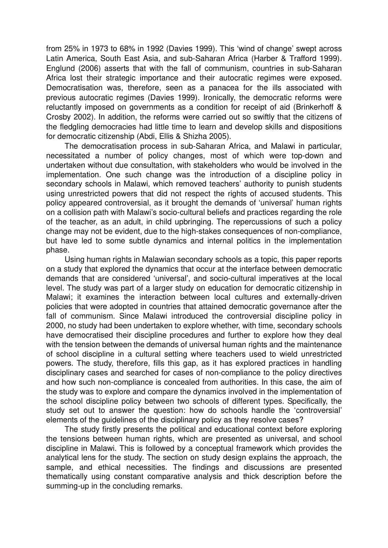from 25% in 1973 to 68% in 1992 (Davies 1999). This 'wind of change' swept across Latin America, South East Asia, and sub-Saharan Africa (Harber & Trafford 1999). Englund (2006) asserts that with the fall of communism, countries in sub-Saharan Africa lost their strategic importance and their autocratic regimes were exposed. Democratisation was, therefore, seen as a panacea for the ills associated with previous autocratic regimes (Davies 1999). Ironically, the democratic reforms were reluctantly imposed on governments as a condition for receipt of aid (Brinkerhoff & Crosby 2002). In addition, the reforms were carried out so swiftly that the citizens of the fledgling democracies had little time to learn and develop skills and dispositions for democratic citizenship (Abdi, Ellis & Shizha 2005).

The democratisation process in sub-Saharan Africa, and Malawi in particular, necessitated a number of policy changes, most of which were top-down and undertaken without due consultation, with stakeholders who would be involved in the implementation. One such change was the introduction of a discipline policy in secondary schools in Malawi, which removed teachers' authority to punish students using unrestricted powers that did not respect the rights of accused students. This policy appeared controversial, as it brought the demands of 'universal' human rights on a collision path with Malawi's socio-cultural beliefs and practices regarding the role of the teacher, as an adult, in child upbringing. The repercussions of such a policy change may not be evident, due to the high-stakes consequences of non-compliance, but have led to some subtle dynamics and internal politics in the implementation phase.

Using human rights in Malawian secondary schools as a topic, this paper reports on a study that explored the dynamics that occur at the interface between democratic demands that are considered 'universal', and socio-cultural imperatives at the local level. The study was part of a larger study on education for democratic citizenship in Malawi; it examines the interaction between local cultures and externally-driven policies that were adopted in countries that attained democratic governance after the fall of communism. Since Malawi introduced the controversial discipline policy in 2000, no study had been undertaken to explore whether, with time, secondary schools have democratised their discipline procedures and further to explore how they deal with the tension between the demands of universal human rights and the maintenance of school discipline in a cultural setting where teachers used to wield unrestricted powers. The study, therefore, fills this gap, as it has explored practices in handling disciplinary cases and searched for cases of non-compliance to the policy directives and how such non-compliance is concealed from authorities. In this case, the aim of the study was to explore and compare the dynamics involved in the implementation of the school discipline policy between two schools of different types. Specifically, the study set out to answer the question: how do schools handle the 'controversial' elements of the guidelines of the disciplinary policy as they resolve cases?

The study firstly presents the political and educational context before exploring the tensions between human rights, which are presented as universal, and school discipline in Malawi. This is followed by a conceptual framework which provides the analytical lens for the study. The section on study design explains the approach, the sample, and ethical necessities. The findings and discussions are presented thematically using constant comparative analysis and thick description before the summing-up in the concluding remarks.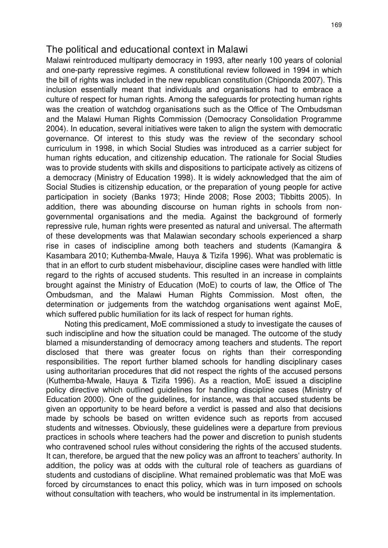## The political and educational context in Malawi

Malawi reintroduced multiparty democracy in 1993, after nearly 100 years of colonial and one-party repressive regimes. A constitutional review followed in 1994 in which the bill of rights was included in the new republican constitution (Chiponda 2007). This inclusion essentially meant that individuals and organisations had to embrace a culture of respect for human rights. Among the safeguards for protecting human rights was the creation of watchdog organisations such as the Office of The Ombudsman and the Malawi Human Rights Commission (Democracy Consolidation Programme 2004). In education, several initiatives were taken to align the system with democratic governance. Of interest to this study was the review of the secondary school curriculum in 1998, in which Social Studies was introduced as a carrier subject for human rights education, and citizenship education. The rationale for Social Studies was to provide students with skills and dispositions to participate actively as citizens of a democracy (Ministry of Education 1998). It is widely acknowledged that the aim of Social Studies is citizenship education, or the preparation of young people for active participation in society (Banks 1973; Hinde 2008; Rose 2003; Tibbitts 2005). In addition, there was abounding discourse on human rights in schools from nongovernmental organisations and the media. Against the background of formerly repressive rule, human rights were presented as natural and universal. The aftermath of these developments was that Malawian secondary schools experienced a sharp rise in cases of indiscipline among both teachers and students (Kamangira & Kasambara 2010; Kuthemba-Mwale, Hauya & Tizifa 1996). What was problematic is that in an effort to curb student misbehaviour, discipline cases were handled with little regard to the rights of accused students. This resulted in an increase in complaints brought against the Ministry of Education (MoE) to courts of law, the Office of The Ombudsman, and the Malawi Human Rights Commission. Most often, the determination or judgements from the watchdog organisations went against MoE, which suffered public humiliation for its lack of respect for human rights.

Noting this predicament, MoE commissioned a study to investigate the causes of such indiscipline and how the situation could be managed. The outcome of the study blamed a misunderstanding of democracy among teachers and students. The report disclosed that there was greater focus on rights than their corresponding responsibilities. The report further blamed schools for handling disciplinary cases using authoritarian procedures that did not respect the rights of the accused persons (Kuthemba-Mwale, Hauya & Tizifa 1996). As a reaction, MoE issued a discipline policy directive which outlined guidelines for handling discipline cases (Ministry of Education 2000). One of the guidelines, for instance, was that accused students be given an opportunity to be heard before a verdict is passed and also that decisions made by schools be based on written evidence such as reports from accused students and witnesses. Obviously, these guidelines were a departure from previous practices in schools where teachers had the power and discretion to punish students who contravened school rules without considering the rights of the accused students. It can, therefore, be argued that the new policy was an affront to teachers' authority. In addition, the policy was at odds with the cultural role of teachers as guardians of students and custodians of discipline. What remained problematic was that MoE was forced by circumstances to enact this policy, which was in turn imposed on schools without consultation with teachers, who would be instrumental in its implementation.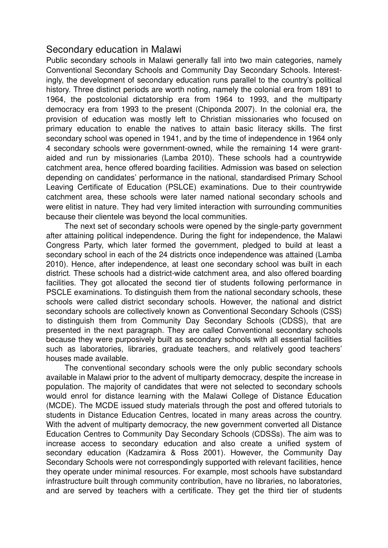# Secondary education in Malawi

Public secondary schools in Malawi generally fall into two main categories, namely Conventional Secondary Schools and Community Day Secondary Schools. Interestingly, the development of secondary education runs parallel to the country's political history. Three distinct periods are worth noting, namely the colonial era from 1891 to 1964, the postcolonial dictatorship era from 1964 to 1993, and the multiparty democracy era from 1993 to the present (Chiponda 2007). In the colonial era, the provision of education was mostly left to Christian missionaries who focused on primary education to enable the natives to attain basic literacy skills. The first secondary school was opened in 1941, and by the time of independence in 1964 only 4 secondary schools were government-owned, while the remaining 14 were grantaided and run by missionaries (Lamba 2010). These schools had a countrywide catchment area, hence offered boarding facilities. Admission was based on selection depending on candidates' performance in the national, standardised Primary School Leaving Certificate of Education (PSLCE) examinations. Due to their countrywide catchment area, these schools were later named national secondary schools and were elitist in nature. They had very limited interaction with surrounding communities because their clientele was beyond the local communities.

The next set of secondary schools were opened by the single-party government after attaining political independence. During the fight for independence, the Malawi Congress Party, which later formed the government, pledged to build at least a secondary school in each of the 24 districts once independence was attained (Lamba 2010). Hence, after independence, at least one secondary school was built in each district. These schools had a district-wide catchment area, and also offered boarding facilities. They got allocated the second tier of students following performance in PSCLE examinations. To distinguish them from the national secondary schools, these schools were called district secondary schools. However, the national and district secondary schools are collectively known as Conventional Secondary Schools (CSS) to distinguish them from Community Day Secondary Schools (CDSS), that are presented in the next paragraph. They are called Conventional secondary schools because they were purposively built as secondary schools with all essential facilities such as laboratories, libraries, graduate teachers, and relatively good teachers' houses made available.

The conventional secondary schools were the only public secondary schools available in Malawi prior to the advent of multiparty democracy, despite the increase in population. The majority of candidates that were not selected to secondary schools would enrol for distance learning with the Malawi College of Distance Education (MCDE). The MCDE issued study materials through the post and offered tutorials to students in Distance Education Centres, located in many areas across the country. With the advent of multiparty democracy, the new government converted all Distance Education Centres to Community Day Secondary Schools (CDSSs). The aim was to increase access to secondary education and also create a unified system of secondary education (Kadzamira & Ross 2001). However, the Community Day Secondary Schools were not correspondingly supported with relevant facilities, hence they operate under minimal resources. For example, most schools have substandard infrastructure built through community contribution, have no libraries, no laboratories, and are served by teachers with a certificate. They get the third tier of students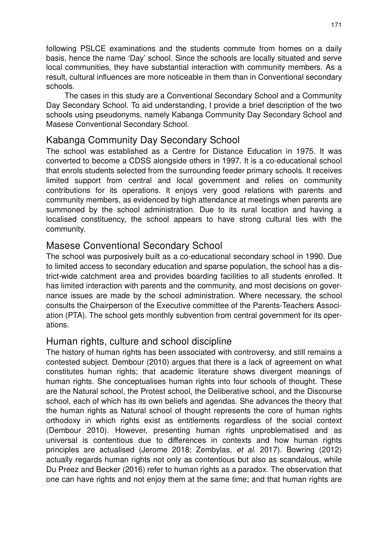following PSLCE examinations and the students commute from homes on a daily basis, hence the name 'Day' school. Since the schools are locally situated and serve local communities, they have substantial interaction with community members. As a result, cultural influences are more noticeable in them than in Conventional secondary schools.

The cases in this study are a Conventional Secondary School and a Community Day Secondary School. To aid understanding, I provide a brief description of the two schools using pseudonyms, namely Kabanga Community Day Secondary School and Masese Conventional Secondary School.

# Kabanga Community Day Secondary School

The school was established as a Centre for Distance Education in 1975. It was converted to become a CDSS alongside others in 1997. It is a co-educational school that enrols students selected from the surrounding feeder primary schools. It receives limited support from central and local government and relies on community contributions for its operations. It enjoys very good relations with parents and community members, as evidenced by high attendance at meetings when parents are summoned by the school administration. Due to its rural location and having a localised constituency, the school appears to have strong cultural ties with the community.

# Masese Conventional Secondary School

The school was purposively built as a co-educational secondary school in 1990. Due to limited access to secondary education and sparse population, the school has a district-wide catchment area and provides boarding facilities to all students enrolled. It has limited interaction with parents and the community, and most decisions on governance issues are made by the school administration. Where necessary, the school consults the Chairperson of the Executive committee of the Parents-Teachers Association (PTA). The school gets monthly subvention from central government for its operations.

## Human rights, culture and school discipline

The history of human rights has been associated with controversy, and still remains a contested subject. Dembour (2010) argues that there is a lack of agreement on what constitutes human rights; that academic literature shows divergent meanings of human rights. She conceptualises human rights into four schools of thought. These are the Natural school, the Protest school, the Deliberative school, and the Discourse school, each of which has its own beliefs and agendas. She advances the theory that the human rights as Natural school of thought represents the core of human rights orthodoxy in which rights exist as entitlements regardless of the social context (Dembour 2010). However, presenting human rights unproblematised and as universal is contentious due to differences in contexts and how human rights principles are actualised (Jerome 2018; Zembylas, *et al*. 2017). Bowring (2012) actually regards human rights not only as contentious but also as scandalous, while Du Preez and Becker (2016) refer to human rights as a paradox. The observation that one can have rights and not enjoy them at the same time; and that human rights are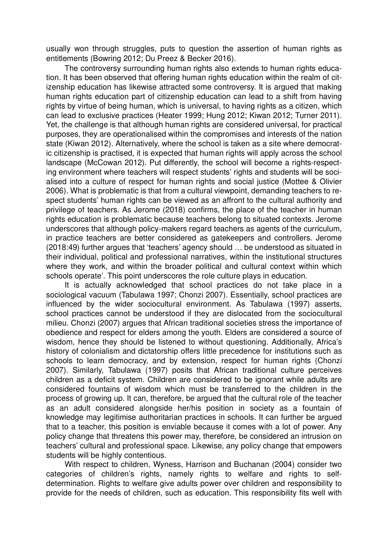usually won through struggles, puts to question the assertion of human rights as entitlements (Bowring 2012; Du Preez & Becker 2016).

The controversy surrounding human rights also extends to human rights education. It has been observed that offering human rights education within the realm of citizenship education has likewise attracted some controversy. It is argued that making human rights education part of citizenship education can lead to a shift from having rights by virtue of being human, which is universal, to having rights as a citizen, which can lead to exclusive practices (Heater 1999; Hung 2012; Kiwan 2012; Turner 2011). Yet, the challenge is that although human rights are considered universal, for practical purposes, they are operationalised within the compromises and interests of the nation state (Kiwan 2012). Alternatively, where the school is taken as a site where democratic citizenship is practised, it is expected that human rights will apply across the school landscape (McCowan 2012). Put differently, the school will become a rights-respecting environment where teachers will respect students' rights and students will be socialised into a culture of respect for human rights and social justice (Mottee & Olivier 2006). What is problematic is that from a cultural viewpoint, demanding teachers to respect students' human rights can be viewed as an affront to the cultural authority and privilege of teachers. As Jerome (2018) confirms, the place of the teacher in human rights education is problematic because teachers belong to situated contexts. Jerome underscores that although policy-makers regard teachers as agents of the curriculum, in practice teachers are better considered as gatekeepers and controllers. Jerome (2018:49) further argues that 'teachers' agency should … be understood as situated in their individual, political and professional narratives, within the institutional structures where they work, and within the broader political and cultural context within which schools operate'. This point underscores the role culture plays in education.

It is actually acknowledged that school practices do not take place in a sociological vacuum (Tabulawa 1997; Chonzi 2007). Essentially, school practices are influenced by the wider sociocultural environment. As Tabulawa (1997) asserts, school practices cannot be understood if they are dislocated from the sociocultural milieu. Chonzi (2007) argues that African traditional societies stress the importance of obedience and respect for elders among the youth. Elders are considered a source of wisdom, hence they should be listened to without questioning. Additionally, Africa's history of colonialism and dictatorship offers little precedence for institutions such as schools to learn democracy, and by extension, respect for human rights (Chonzi 2007). Similarly, Tabulawa (1997) posits that African traditional culture perceives children as a deficit system. Children are considered to be ignorant while adults are considered fountains of wisdom which must be transferred to the children in the process of growing up. It can, therefore, be argued that the cultural role of the teacher as an adult considered alongside her/his position in society as a fountain of knowledge may legitimise authoritarian practices in schools. It can further be argued that to a teacher, this position is enviable because it comes with a lot of power. Any policy change that threatens this power may, therefore, be considered an intrusion on teachers' cultural and professional space. Likewise, any policy change that empowers students will be highly contentious.

With respect to children, Wyness, Harrison and Buchanan (2004) consider two categories of children's rights, namely rights to welfare and rights to selfdetermination. Rights to welfare give adults power over children and responsibility to provide for the needs of children, such as education. This responsibility fits well with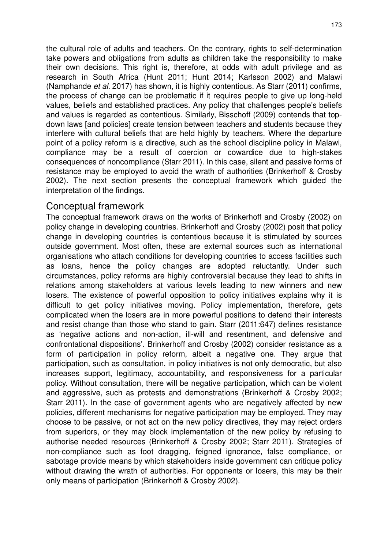the cultural role of adults and teachers. On the contrary, rights to self-determination take powers and obligations from adults as children take the responsibility to make their own decisions. This right is, therefore, at odds with adult privilege and as research in South Africa (Hunt 2011; Hunt 2014; Karlsson 2002) and Malawi (Namphande *et al.* 2017) has shown, it is highly contentious. As Starr (2011) confirms, the process of change can be problematic if it requires people to give up long-held values, beliefs and established practices. Any policy that challenges people's beliefs and values is regarded as contentious. Similarly, Bisschoff (2009) contends that topdown laws [and policies] create tension between teachers and students because they interfere with cultural beliefs that are held highly by teachers. Where the departure point of a policy reform is a directive, such as the school discipline policy in Malawi, compliance may be a result of coercion or cowardice due to high-stakes consequences of noncompliance (Starr 2011). In this case, silent and passive forms of resistance may be employed to avoid the wrath of authorities (Brinkerhoff & Crosby 2002). The next section presents the conceptual framework which guided the interpretation of the findings.

## Conceptual framework

The conceptual framework draws on the works of Brinkerhoff and Crosby (2002) on policy change in developing countries. Brinkerhoff and Crosby (2002) posit that policy change in developing countries is contentious because it is stimulated by sources outside government. Most often, these are external sources such as international organisations who attach conditions for developing countries to access facilities such as loans, hence the policy changes are adopted reluctantly. Under such circumstances, policy reforms are highly controversial because they lead to shifts in relations among stakeholders at various levels leading to new winners and new losers. The existence of powerful opposition to policy initiatives explains why it is difficult to get policy initiatives moving. Policy implementation, therefore, gets complicated when the losers are in more powerful positions to defend their interests and resist change than those who stand to gain. Starr (2011:647) defines resistance as 'negative actions and non-action, ill-will and resentment, and defensive and confrontational dispositions'. Brinkerhoff and Crosby (2002) consider resistance as a form of participation in policy reform, albeit a negative one. They argue that participation, such as consultation, in policy initiatives is not only democratic, but also increases support, legitimacy, accountability, and responsiveness for a particular policy. Without consultation, there will be negative participation, which can be violent and aggressive, such as protests and demonstrations (Brinkerhoff & Crosby 2002; Starr 2011). In the case of government agents who are negatively affected by new policies, different mechanisms for negative participation may be employed. They may choose to be passive, or not act on the new policy directives, they may reject orders from superiors, or they may block implementation of the new policy by refusing to authorise needed resources (Brinkerhoff & Crosby 2002; Starr 2011). Strategies of non-compliance such as foot dragging, feigned ignorance, false compliance, or sabotage provide means by which stakeholders inside government can critique policy without drawing the wrath of authorities. For opponents or losers, this may be their only means of participation (Brinkerhoff & Crosby 2002).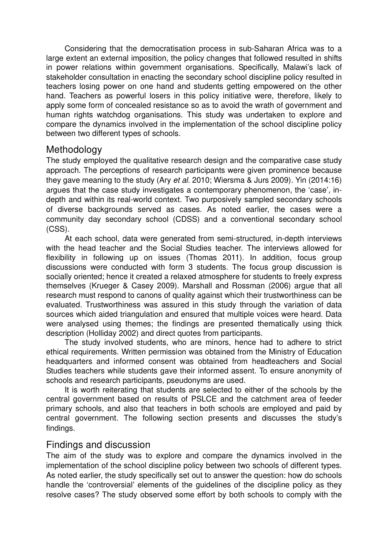Considering that the democratisation process in sub-Saharan Africa was to a large extent an external imposition, the policy changes that followed resulted in shifts in power relations within government organisations. Specifically, Malawi's lack of stakeholder consultation in enacting the secondary school discipline policy resulted in teachers losing power on one hand and students getting empowered on the other hand. Teachers as powerful losers in this policy initiative were, therefore, likely to apply some form of concealed resistance so as to avoid the wrath of government and human rights watchdog organisations. This study was undertaken to explore and compare the dynamics involved in the implementation of the school discipline policy between two different types of schools.

#### **Methodology**

The study employed the qualitative research design and the comparative case study approach. The perceptions of research participants were given prominence because they gave meaning to the study (Ary *et al.* 2010; Wiersma & Jurs 2009). Yin (2014:16) argues that the case study investigates a contemporary phenomenon, the 'case', indepth and within its real-world context. Two purposively sampled secondary schools of diverse backgrounds served as cases. As noted earlier, the cases were a community day secondary school (CDSS) and a conventional secondary school (CSS).

At each school, data were generated from semi-structured, in-depth interviews with the head teacher and the Social Studies teacher. The interviews allowed for flexibility in following up on issues (Thomas 2011). In addition, focus group discussions were conducted with form 3 students. The focus group discussion is socially oriented; hence it created a relaxed atmosphere for students to freely express themselves (Krueger & Casey 2009). Marshall and Rossman (2006) argue that all research must respond to canons of quality against which their trustworthiness can be evaluated. Trustworthiness was assured in this study through the variation of data sources which aided triangulation and ensured that multiple voices were heard. Data were analysed using themes; the findings are presented thematically using thick description (Holliday 2002) and direct quotes from participants.

The study involved students, who are minors, hence had to adhere to strict ethical requirements. Written permission was obtained from the Ministry of Education headquarters and informed consent was obtained from headteachers and Social Studies teachers while students gave their informed assent. To ensure anonymity of schools and research participants, pseudonyms are used.

It is worth reiterating that students are selected to either of the schools by the central government based on results of PSLCE and the catchment area of feeder primary schools, and also that teachers in both schools are employed and paid by central government. The following section presents and discusses the study's findings.

## Findings and discussion

The aim of the study was to explore and compare the dynamics involved in the implementation of the school discipline policy between two schools of different types. As noted earlier, the study specifically set out to answer the question: how do schools handle the 'controversial' elements of the guidelines of the discipline policy as they resolve cases? The study observed some effort by both schools to comply with the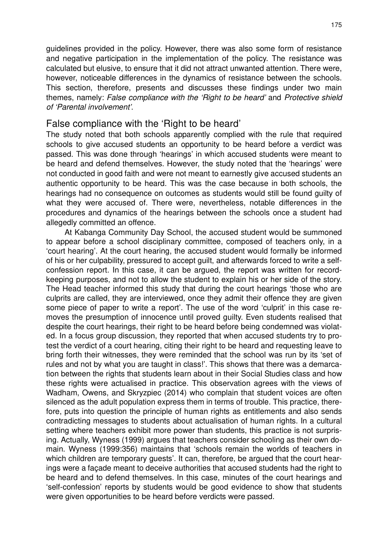guidelines provided in the policy. However, there was also some form of resistance and negative participation in the implementation of the policy. The resistance was calculated but elusive, to ensure that it did not attract unwanted attention. There were, however, noticeable differences in the dynamics of resistance between the schools. This section, therefore, presents and discusses these findings under two main themes, namely: *False compliance with the 'Right to be heard'* and *Protective shield of 'Parental involvement'*.

#### False compliance with the 'Right to be heard'

The study noted that both schools apparently complied with the rule that required schools to give accused students an opportunity to be heard before a verdict was passed. This was done through 'hearings' in which accused students were meant to be heard and defend themselves. However, the study noted that the 'hearings' were not conducted in good faith and were not meant to earnestly give accused students an authentic opportunity to be heard. This was the case because in both schools, the hearings had no consequence on outcomes as students would still be found guilty of what they were accused of. There were, nevertheless, notable differences in the procedures and dynamics of the hearings between the schools once a student had allegedly committed an offence.

At Kabanga Community Day School, the accused student would be summoned to appear before a school disciplinary committee, composed of teachers only, in a 'court hearing'. At the court hearing, the accused student would formally be informed of his or her culpability, pressured to accept guilt, and afterwards forced to write a selfconfession report. In this case, it can be argued, the report was written for recordkeeping purposes, and not to allow the student to explain his or her side of the story. The Head teacher informed this study that during the court hearings 'those who are culprits are called, they are interviewed, once they admit their offence they are given some piece of paper to write a report'. The use of the word 'culprit' in this case removes the presumption of innocence until proved guilty. Even students realised that despite the court hearings, their right to be heard before being condemned was violated. In a focus group discussion, they reported that when accused students try to protest the verdict of a court hearing, citing their right to be heard and requesting leave to bring forth their witnesses, they were reminded that the school was run by its 'set of rules and not by what you are taught in class!'. This shows that there was a demarcation between the rights that students learn about in their Social Studies class and how these rights were actualised in practice. This observation agrees with the views of Wadham, Owens, and Skryzpiec (2014) who complain that student voices are often silenced as the adult population express them in terms of trouble. This practice, therefore, puts into question the principle of human rights as entitlements and also sends contradicting messages to students about actualisation of human rights. In a cultural setting where teachers exhibit more power than students, this practice is not surprising. Actually, Wyness (1999) argues that teachers consider schooling as their own domain. Wyness (1999:356) maintains that 'schools remain the worlds of teachers in which children are temporary guests'. It can, therefore, be argued that the court hearings were a façade meant to deceive authorities that accused students had the right to be heard and to defend themselves. In this case, minutes of the court hearings and 'self-confession' reports by students would be good evidence to show that students were given opportunities to be heard before verdicts were passed.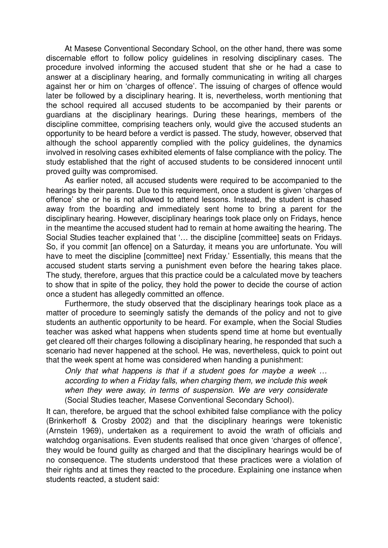At Masese Conventional Secondary School, on the other hand, there was some discernable effort to follow policy guidelines in resolving disciplinary cases. The procedure involved informing the accused student that she or he had a case to answer at a disciplinary hearing, and formally communicating in writing all charges against her or him on 'charges of offence'. The issuing of charges of offence would later be followed by a disciplinary hearing. It is, nevertheless, worth mentioning that the school required all accused students to be accompanied by their parents or guardians at the disciplinary hearings. During these hearings, members of the discipline committee, comprising teachers only, would give the accused students an opportunity to be heard before a verdict is passed. The study, however, observed that although the school apparently complied with the policy guidelines, the dynamics involved in resolving cases exhibited elements of false compliance with the policy. The study established that the right of accused students to be considered innocent until proved guilty was compromised.

As earlier noted, all accused students were required to be accompanied to the hearings by their parents. Due to this requirement, once a student is given 'charges of offence' she or he is not allowed to attend lessons. Instead, the student is chased away from the boarding and immediately sent home to bring a parent for the disciplinary hearing. However, disciplinary hearings took place only on Fridays, hence in the meantime the accused student had to remain at home awaiting the hearing. The Social Studies teacher explained that '… the discipline [committee] seats on Fridays. So, if you commit [an offence] on a Saturday, it means you are unfortunate. You will have to meet the discipline [committee] next Friday.' Essentially, this means that the accused student starts serving a punishment even before the hearing takes place. The study, therefore, argues that this practice could be a calculated move by teachers to show that in spite of the policy, they hold the power to decide the course of action once a student has allegedly committed an offence.

Furthermore, the study observed that the disciplinary hearings took place as a matter of procedure to seemingly satisfy the demands of the policy and not to give students an authentic opportunity to be heard. For example, when the Social Studies teacher was asked what happens when students spend time at home but eventually get cleared off their charges following a disciplinary hearing, he responded that such a scenario had never happened at the school. He was, nevertheless, quick to point out that the week spent at home was considered when handing a punishment:

*Only that what happens is that if a student goes for maybe a week … according to when a Friday falls, when charging them, we include this week when they were away, in terms of suspension. We are very considerate* (Social Studies teacher, Masese Conventional Secondary School).

It can, therefore, be argued that the school exhibited false compliance with the policy (Brinkerhoff & Crosby 2002) and that the disciplinary hearings were tokenistic (Arnstein 1969), undertaken as a requirement to avoid the wrath of officials and watchdog organisations. Even students realised that once given 'charges of offence', they would be found guilty as charged and that the disciplinary hearings would be of no consequence. The students understood that these practices were a violation of their rights and at times they reacted to the procedure. Explaining one instance when students reacted, a student said: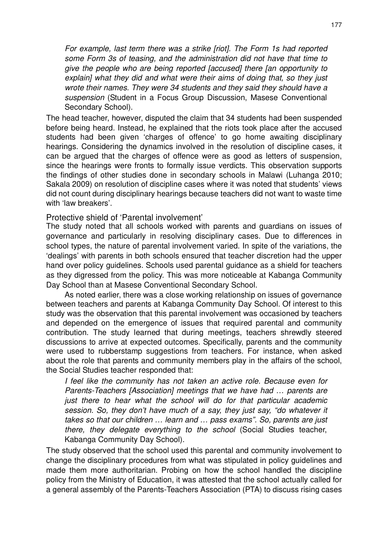*For example, last term there was a strike [riot]. The Form 1s had reported some Form 3s of teasing, and the administration did not have that time to give the people who are being reported [accused] there [an opportunity to explain] what they did and what were their aims of doing that, so they just wrote their names. They were 34 students and they said they should have a suspension* (Student in a Focus Group Discussion, Masese Conventional Secondary School).

The head teacher, however, disputed the claim that 34 students had been suspended before being heard. Instead, he explained that the riots took place after the accused students had been given 'charges of offence' to go home awaiting disciplinary hearings. Considering the dynamics involved in the resolution of discipline cases, it can be argued that the charges of offence were as good as letters of suspension, since the hearings were fronts to formally issue verdicts. This observation supports the findings of other studies done in secondary schools in Malawi (Luhanga 2010; Sakala 2009) on resolution of discipline cases where it was noted that students' views did not count during disciplinary hearings because teachers did not want to waste time with 'law breakers'.

#### Protective shield of 'Parental involvement'

The study noted that all schools worked with parents and guardians on issues of governance and particularly in resolving disciplinary cases. Due to differences in school types, the nature of parental involvement varied. In spite of the variations, the 'dealings' with parents in both schools ensured that teacher discretion had the upper hand over policy guidelines. Schools used parental guidance as a shield for teachers as they digressed from the policy. This was more noticeable at Kabanga Community Day School than at Masese Conventional Secondary School.

As noted earlier, there was a close working relationship on issues of governance between teachers and parents at Kabanga Community Day School. Of interest to this study was the observation that this parental involvement was occasioned by teachers and depended on the emergence of issues that required parental and community contribution. The study learned that during meetings, teachers shrewdly steered discussions to arrive at expected outcomes. Specifically, parents and the community were used to rubberstamp suggestions from teachers. For instance, when asked about the role that parents and community members play in the affairs of the school, the Social Studies teacher responded that:

*I feel like the community has not taken an active role. Because even for Parents-Teachers [Association] meetings that we have had … parents are just there to hear what the school will do for that particular academic session. So, they don't have much of a say, they just say, "do whatever it takes so that our children … learn and … pass exams". So, parents are just there, they delegate everything to the school* (Social Studies teacher, Kabanga Community Day School).

The study observed that the school used this parental and community involvement to change the disciplinary procedures from what was stipulated in policy guidelines and made them more authoritarian. Probing on how the school handled the discipline policy from the Ministry of Education, it was attested that the school actually called for a general assembly of the Parents-Teachers Association (PTA) to discuss rising cases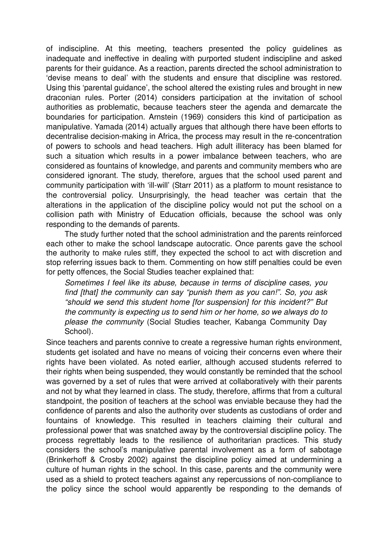of indiscipline. At this meeting, teachers presented the policy guidelines as inadequate and ineffective in dealing with purported student indiscipline and asked parents for their guidance. As a reaction, parents directed the school administration to 'devise means to deal' with the students and ensure that discipline was restored. Using this 'parental guidance', the school altered the existing rules and brought in new draconian rules. Porter (2014) considers participation at the invitation of school authorities as problematic, because teachers steer the agenda and demarcate the boundaries for participation. Arnstein (1969) considers this kind of participation as manipulative. Yamada (2014) actually argues that although there have been efforts to decentralise decision-making in Africa, the process may result in the re-concentration of powers to schools and head teachers. High adult illiteracy has been blamed for such a situation which results in a power imbalance between teachers, who are considered as fountains of knowledge, and parents and community members who are considered ignorant. The study, therefore, argues that the school used parent and community participation with 'ill-will' (Starr 2011) as a platform to mount resistance to the controversial policy. Unsurprisingly, the head teacher was certain that the alterations in the application of the discipline policy would not put the school on a collision path with Ministry of Education officials, because the school was only responding to the demands of parents.

The study further noted that the school administration and the parents reinforced each other to make the school landscape autocratic. Once parents gave the school the authority to make rules stiff, they expected the school to act with discretion and stop referring issues back to them. Commenting on how stiff penalties could be even for petty offences, the Social Studies teacher explained that:

*Sometimes I feel like its abuse, because in terms of discipline cases, you find [that] the community can say "punish them as you can!". So, you ask "should we send this student home [for suspension] for this incident?" But the community is expecting us to send him or her home, so we always do to please the community* (Social Studies teacher, Kabanga Community Day School).

Since teachers and parents connive to create a regressive human rights environment, students get isolated and have no means of voicing their concerns even where their rights have been violated. As noted earlier, although accused students referred to their rights when being suspended, they would constantly be reminded that the school was governed by a set of rules that were arrived at collaboratively with their parents and not by what they learned in class. The study, therefore, affirms that from a cultural standpoint, the position of teachers at the school was enviable because they had the confidence of parents and also the authority over students as custodians of order and fountains of knowledge. This resulted in teachers claiming their cultural and professional power that was snatched away by the controversial discipline policy. The process regrettably leads to the resilience of authoritarian practices. This study considers the school's manipulative parental involvement as a form of sabotage (Brinkerhoff & Crosby 2002) against the discipline policy aimed at undermining a culture of human rights in the school. In this case, parents and the community were used as a shield to protect teachers against any repercussions of non-compliance to the policy since the school would apparently be responding to the demands of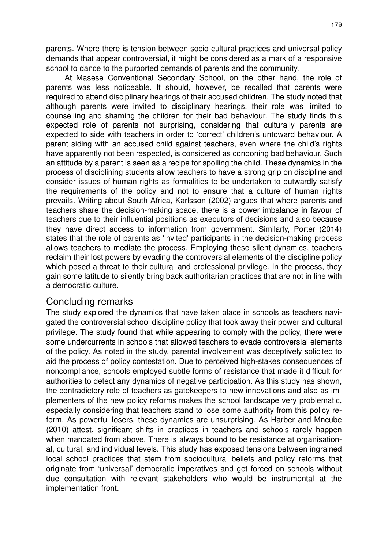parents. Where there is tension between socio-cultural practices and universal policy demands that appear controversial, it might be considered as a mark of a responsive school to dance to the purported demands of parents and the community.

At Masese Conventional Secondary School, on the other hand, the role of parents was less noticeable. It should, however, be recalled that parents were required to attend disciplinary hearings of their accused children. The study noted that although parents were invited to disciplinary hearings, their role was limited to counselling and shaming the children for their bad behaviour. The study finds this expected role of parents not surprising, considering that culturally parents are expected to side with teachers in order to 'correct' children's untoward behaviour. A parent siding with an accused child against teachers, even where the child's rights have apparently not been respected, is considered as condoning bad behaviour. Such an attitude by a parent is seen as a recipe for spoiling the child. These dynamics in the process of disciplining students allow teachers to have a strong grip on discipline and consider issues of human rights as formalities to be undertaken to outwardly satisfy the requirements of the policy and not to ensure that a culture of human rights prevails. Writing about South Africa, Karlsson (2002) argues that where parents and teachers share the decision-making space, there is a power imbalance in favour of teachers due to their influential positions as executors of decisions and also because they have direct access to information from government. Similarly, Porter (2014) states that the role of parents as 'invited' participants in the decision-making process allows teachers to mediate the process. Employing these silent dynamics, teachers reclaim their lost powers by evading the controversial elements of the discipline policy which posed a threat to their cultural and professional privilege. In the process, they gain some latitude to silently bring back authoritarian practices that are not in line with a democratic culture.

## Concluding remarks

The study explored the dynamics that have taken place in schools as teachers navigated the controversial school discipline policy that took away their power and cultural privilege. The study found that while appearing to comply with the policy, there were some undercurrents in schools that allowed teachers to evade controversial elements of the policy. As noted in the study, parental involvement was deceptively solicited to aid the process of policy contestation. Due to perceived high-stakes consequences of noncompliance, schools employed subtle forms of resistance that made it difficult for authorities to detect any dynamics of negative participation. As this study has shown, the contradictory role of teachers as gatekeepers to new innovations and also as implementers of the new policy reforms makes the school landscape very problematic, especially considering that teachers stand to lose some authority from this policy reform. As powerful losers, these dynamics are unsurprising. As Harber and Mncube (2010) attest, significant shifts in practices in teachers and schools rarely happen when mandated from above. There is always bound to be resistance at organisational, cultural, and individual levels. This study has exposed tensions between ingrained local school practices that stem from sociocultural beliefs and policy reforms that originate from 'universal' democratic imperatives and get forced on schools without due consultation with relevant stakeholders who would be instrumental at the implementation front.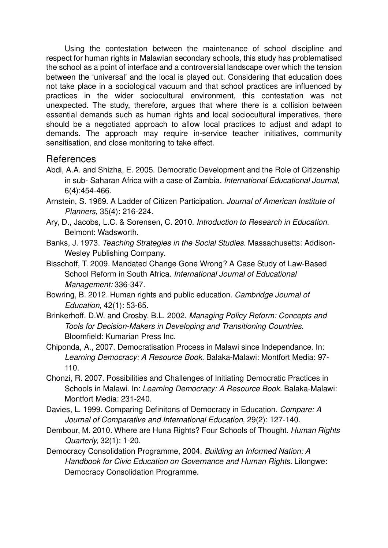Using the contestation between the maintenance of school discipline and respect for human rights in Malawian secondary schools, this study has problematised the school as a point of interface and a controversial landscape over which the tension between the 'universal' and the local is played out. Considering that education does not take place in a sociological vacuum and that school practices are influenced by practices in the wider sociocultural environment, this contestation was not unexpected. The study, therefore, argues that where there is a collision between essential demands such as human rights and local sociocultural imperatives, there should be a negotiated approach to allow local practices to adjust and adapt to demands. The approach may require in-service teacher initiatives, community sensitisation, and close monitoring to take effect.

## References

- Abdi, A.A. and Shizha, E. 2005. Democratic Development and the Role of Citizenship in sub- Saharan Africa with a case of Zambia. *International Educational Journal,*  6(4):454-466.
- Arnstein, S. 1969. A Ladder of Citizen Participation. *Journal of American Institute of Planners,* 35(4): 216-224.
- Ary, D., Jacobs, L.C. & Sorensen, C. 2010. *Introduction to Research in Education.*  Belmont: Wadsworth.
- Banks, J. 1973. *Teaching Strategies in the Social Studies.* Massachusetts: Addison-Wesley Publishing Company.
- Bisschoff, T. 2009. Mandated Change Gone Wrong? A Case Study of Law-Based School Reform in South Africa. *International Journal of Educational Management:* 336-347.
- Bowring, B. 2012. Human rights and public education. *Cambridge Journal of Education,* 42(1): 53-65.
- Brinkerhoff, D.W. and Crosby, B.L. 2002. *Managing Policy Reform: Concepts and Tools for Decision-Makers in Developing and Transitioning Countries.*  Bloomfield: Kumarian Press Inc.
- Chiponda, A., 2007. Democratisation Process in Malawi since Independance. In: *Learning Democracy: A Resource Book.* Balaka-Malawi: Montfort Media: 97- 110.
- Chonzi, R. 2007. Possibilities and Challenges of Initiating Democratic Practices in Schools in Malawi. In: *Learning Democracy: A Resource Book.* Balaka-Malawi: Montfort Media: 231-240.
- Davies, L. 1999. Comparing Definitons of Democracy in Education. *Compare: A Journal of Comparative and International Education,* 29(2): 127-140.
- Dembour, M. 2010. Where are Huna Rights? Four Schools of Thought. *Human Rights Quarterly,* 32(1): 1-20.
- Democracy Consolidation Programme, 2004. *Building an Informed Nation: A Handbook for Civic Education on Governance and Human Rights.* Lilongwe: Democracy Consolidation Programme.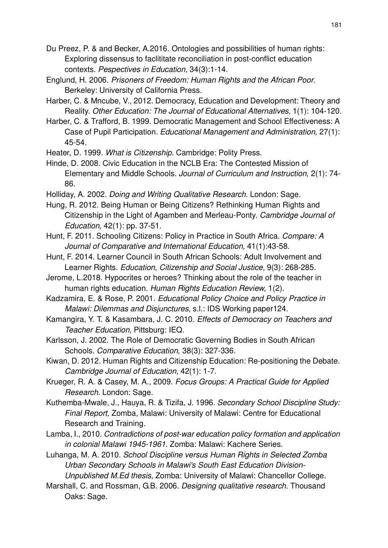Du Preez, P. & and Becker, A.2016. Ontologies and possibilities of human rights: Exploring dissensus to faclititate reconciliation in post-conflict education contexts. *Pespectives in Education,* 34(3):1-14.

- Englund, H. 2006. *Prisoners of Freedom: Human Rights and the African Poor.*  Berkeley: University of California Press.
- Harber, C. & Mncube, V., 2012. Democracy, Education and Development: Theory and Reality. *Other Education: The Journal of Educational Alternatives,* 1(1): 104-120.
- Harber, C. & Trafford, B. 1999. Democratic Management and School Effectiveness: A Case of Pupil Participation. *Educational Management and Administration,* 27(1): 45-54.

Heater, D. 1999. *What is Citizenship.* Cambridge: Polity Press.

- Hinde, D. 2008. Civic Education in the NCLB Era: The Contested Mission of Elementary and Middle Schools. *Journal of Curriculum and Instruction,* 2(1): 74- 86.
- Holliday, A. 2002. *Doing and Writing Qualitative Research.* London: Sage.
- Hung, R. 2012. Being Human or Being Citizens? Rethinking Human Rights and Citizenship in the Light of Agamben and Merleau-Ponty. *Cambridge Journal of Education,* 42(1): pp. 37-51.
- Hunt, F. 2011. Schooling Citizens: Policy in Practice in South Africa. *Compare: A Journal of Comparative and International Education,* 41(1):43-58.
- Hunt, F. 2014. Learner Council in South African Schools: Adult Involvement and Learner Rights. *Education, Citizenship and Social Justice,* 9(3): 268-285.
- Jerome, L.2018. Hypocrites or heroes? Thinking about the role of the teacher in human rights education. *Human Rights Education Review,* 1(2).
- Kadzamira, E. & Rose, P. 2001. *Educational Policy Choice and Policy Practice in Malawi: Dilemmas and Disjunctures,* s.l.: IDS Working paper124.
- Kamangira, Y. T. & Kasambara, J. C. 2010. *Effects of Democracy on Teachers and Teacher Education,* Pittsburg: IEQ.
- Karlsson, J. 2002. The Role of Democratic Governing Bodies in South African Schools. *Comparative Education,* 38(3): 327-336.
- Kiwan, D. 2012. Human Rights and Citizenship Education: Re-positioning the Debate. *Cambridge Journal of Education,* 42(1): 1-7.
- Krueger, R. A. & Casey, M. A., 2009. *Focus Groups: A Practical Guide for Applied Research.* London: Sage.
- Kuthemba-Mwale, J., Hauya, R. & Tizifa, J. 1996. *Secondary School Discipline Study: Final Report,* Zomba, Malawi: University of Malawi: Centre for Educational Research and Training.
- Lamba, I., 2010. *Contradictions of post-war education policy formation and application in colonial Malawi 1945-1961.* Zomba: Malawi: Kachere Series.
- Luhanga, M. A. 2010. *School Discipline versus Human Rights in Selected Zomba Urban Secondary Schools in Malawi's South East Education Division-Unpublished M.Ed thesis,* Zomba: University of Malawi: Chancellor College.
- Marshall, C. and Rossman, G.B. 2006. *Designing qualitative research.* Thousand Oaks: Sage.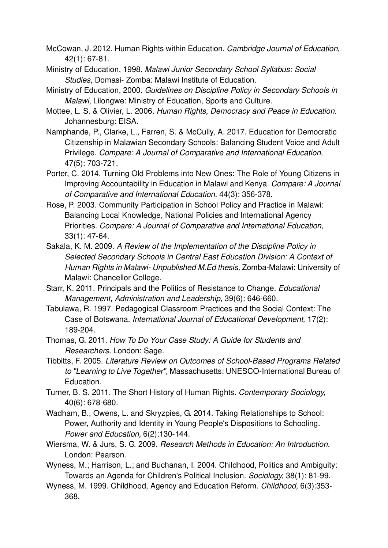- McCowan, J. 2012. Human Rights within Education. *Cambridge Journal of Education,*  42(1): 67-81.
- Ministry of Education, 1998. *Malawi Junior Secondary School Syllabus: Social Studies,* Domasi- Zomba: Malawi Institute of Education.
- Ministry of Education, 2000. *Guidelines on Discipline Policy in Secondary Schools in Malawi,* Lilongwe: Ministry of Education, Sports and Culture.
- Mottee, L. S. & Olivier, L. 2006. *Human Rights, Democracy and Peace in Education.*  Johannesburg: EISA.
- Namphande, P., Clarke, L., Farren, S. & McCully, A. 2017. Education for Democratic Citizenship in Malawian Secondary Schools: Balancing Student Voice and Adult Privilege. *Compare: A Journal of Comparative and International Education,*  47(5): 703-721.
- Porter, C. 2014. Turning Old Problems into New Ones: The Role of Young Citizens in Improving Accountability in Education in Malawi and Kenya. *Compare: A Journal of Comparative and International Education,* 44(3): 356-378.
- Rose, P. 2003. Community Participation in School Policy and Practice in Malawi: Balancing Local Knowledge, National Policies and International Agency Priorities. *Compare: A Journal of Comparative and International Education,*  33(1): 47-64.
- Sakala, K. M. 2009. *A Review of the Implementation of the Discipline Policy in Selected Secondary Schools in Central East Education Division: A Context of Human Rights in Malawi- Unpublished M.Ed thesis,* Zomba-Malawi: University of Malawi: Chancellor College.
- Starr, K. 2011. Principals and the Politics of Resistance to Change. *Educational Management, Administration and Leadership,* 39(6): 646-660.
- Tabulawa, R. 1997. Pedagogical Classroom Practices and the Social Context: The Case of Botswana. *International Journal of Educational Development,* 17(2): 189-204.
- Thomas, G. 2011. *How To Do Your Case Study: A Guide for Students and Researchers.* London: Sage.
- Tibbitts, F. 2005. *Literature Review on Outcomes of School-Based Programs Related to "Learning to Live Together",* Massachusetts: UNESCO-International Bureau of Education.
- Turner, B. S. 2011. The Short History of Human Rights. *Contemporary Sociology,*  40(6): 678-680.
- Wadham, B., Owens, L. and Skryzpies, G. 2014. Taking Relationships to School: Power, Authority and Identity in Young People's Dispositions to Schooling. *Power and Education,* 6(2):130-144.
- Wiersma, W. & Jurs, S. G. 2009. *Research Methods in Education: An Introduction.*  London: Pearson.
- Wyness, M.; Harrison, L.; and Buchanan, I. 2004. Childhood, Politics and Ambiguity: Towards an Agenda for Children's Political Inclusion. *Sociology,* 38(1): 81-99.
- Wyness, M. 1999. Childhood, Agency and Education Reform. *Childhood,* 6(3):353- 368.